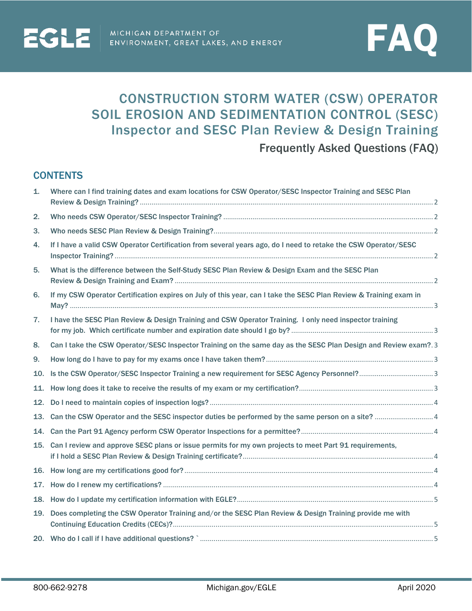

# CONSTRUCTION STORM WATER (CSW) OPERATOR SOIL EROSION AND SEDIMENTATION CONTROL (SESC) Inspector and SESC Plan Review & Design Training

Frequently Asked Questions (FAQ)

# **CONTENTS**

| 1.  | Where can I find training dates and exam locations for CSW Operator/SESC Inspector Training and SESC Plan         |
|-----|-------------------------------------------------------------------------------------------------------------------|
| 2.  |                                                                                                                   |
| 3.  |                                                                                                                   |
| 4.  | If I have a valid CSW Operator Certification from several years ago, do I need to retake the CSW Operator/SESC    |
| 5.  | What is the difference between the Self-Study SESC Plan Review & Design Exam and the SESC Plan                    |
| 6.  | If my CSW Operator Certification expires on July of this year, can I take the SESC Plan Review & Training exam in |
| 7.  | I have the SESC Plan Review & Design Training and CSW Operator Training. I only need inspector training           |
| 8.  | Can I take the CSW Operator/SESC Inspector Training on the same day as the SESC Plan Design and Review exam?.3    |
| 9.  |                                                                                                                   |
| 10. |                                                                                                                   |
|     |                                                                                                                   |
|     |                                                                                                                   |
|     |                                                                                                                   |
|     |                                                                                                                   |
|     | 15. Can I review and approve SESC plans or issue permits for my own projects to meet Part 91 requirements,        |
|     |                                                                                                                   |
|     |                                                                                                                   |
|     |                                                                                                                   |
|     | 19. Does completing the CSW Operator Training and/or the SESC Plan Review & Design Training provide me with       |
|     |                                                                                                                   |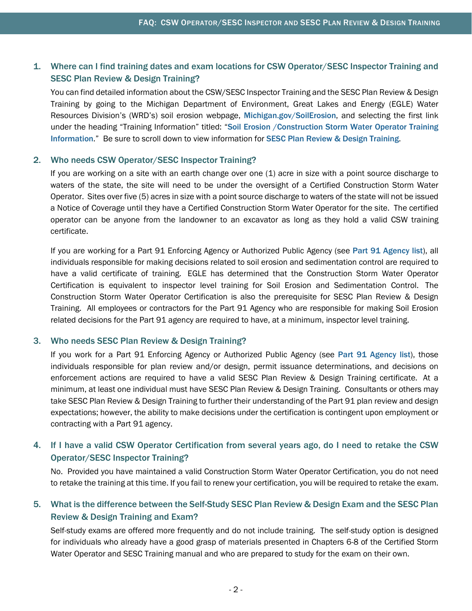## <span id="page-1-0"></span>1. Where can I find training dates and exam locations for CSW Operator/SESC Inspector Training and SESC Plan Review & Design Training?

You can find detailed information about the CSW/SESC Inspector Training and the SESC Plan Review & Design Training by going to the Michigan Department of Environment, Great Lakes and Energy (EGLE) Water Resources Division's (WRD's) soil erosion webpage, [Michigan.gov/SoilErosion](http://www.michigan.gov/soilerosion), and selecting the first link under the heading "Training Information" titled: "Soil Erosion / Construction Storm Water Operator Training [Information](https://www.michigan.gov/egle/0,9429,7-135-3311_4113-365584--,00.html)." Be sure to scroll down to view information for [SESC Plan Review & Design Training](https://www.michigan.gov/egle/0,9429,7-135-3311_4113-366469--,00.html).

#### <span id="page-1-1"></span>2. Who needs CSW Operator/SESC Inspector Training?

If you are working on a site with an earth change over one (1) acre in size with a point source discharge to waters of the state, the site will need to be under the oversight of a Certified Construction Storm Water Operator. Sites over five (5) acres in size with a point source discharge to waters of the state will not be issued a Notice of Coverage until they have a Certified Construction Storm Water Operator for the site. The certified operator can be anyone from the landowner to an excavator as long as they hold a valid CSW training certificate.

If you are working for a Part 91 Enforcing Agency or Authorized Public Agency (see [Part 91 Agency list](https://www.michigan.gov/documents/deq/wrd-sesc-agency-list_539870_7.pdf)), all individuals responsible for making decisions related to soil erosion and sedimentation control are required to have a valid certificate of training. EGLE has determined that the Construction Storm Water Operator Certification is equivalent to inspector level training for Soil Erosion and Sedimentation Control. The Construction Storm Water Operator Certification is also the prerequisite for SESC Plan Review & Design Training. All employees or contractors for the Part 91 Agency who are responsible for making Soil Erosion related decisions for the Part 91 agency are required to have, at a minimum, inspector level training.

## <span id="page-1-2"></span>3. Who needs SESC Plan Review & Design Training?

If you work for a Part 91 Enforcing Agency or Authorized Public Agency (see [Part 91 Agency list](https://www.michigan.gov/documents/deq/wrd-sesc-agency-list_539870_7.pdf)), those individuals responsible for plan review and/or design, permit issuance determinations, and decisions on enforcement actions are required to have a valid SESC Plan Review & Design Training certificate. At a minimum, at least one individual must have SESC Plan Review & Design Training. Consultants or others may take SESC Plan Review & Design Training to further their understanding of the Part 91 plan review and design expectations; however, the ability to make decisions under the certification is contingent upon employment or contracting with a Part 91 agency.

## <span id="page-1-3"></span>4. If I have a valid CSW Operator Certification from several years ago, do I need to retake the CSW Operator/SESC Inspector Training?

No. Provided you have maintained a valid Construction Storm Water Operator Certification, you do not need to retake the training at this time. If you fail to renew your certification, you will be required to retake the exam.

## <span id="page-1-4"></span>5. What is the difference between the Self-Study SESC Plan Review & Design Exam and the SESC Plan Review & Design Training and Exam?

Self-study exams are offered more frequently and do not include training. The self-study option is designed for individuals who already have a good grasp of materials presented in Chapters 6-8 of the Certified Storm Water Operator and SESC Training manual and who are prepared to study for the exam on their own.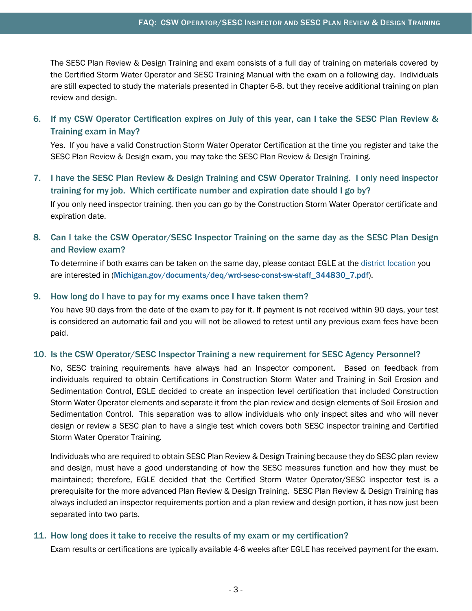The SESC Plan Review & Design Training and exam consists of a full day of training on materials covered by the Certified Storm Water Operator and SESC Training Manual with the exam on a following day. Individuals are still expected to study the materials presented in Chapter 6-8, but they receive additional training on plan review and design.

<span id="page-2-0"></span>6. If my CSW Operator Certification expires on July of this year, can I take the SESC Plan Review & Training exam in May?

Yes. If you have a valid Construction Storm Water Operator Certification at the time you register and take the SESC Plan Review & Design exam, you may take the SESC Plan Review & Design Training.

<span id="page-2-1"></span>7. I have the SESC Plan Review & Design Training and CSW Operator Training. I only need inspector training for my job. Which certificate number and expiration date should I go by? If you only need inspector training, then you can go by the Construction Storm Water Operator certificate and expiration date.

# <span id="page-2-2"></span>8. Can I take the CSW Operator/SESC Inspector Training on the same day as the SESC Plan Design and Review exam?

To determine if both exams can be taken on the same day, please contact EGLE at the [district location](http://www.michigan.gov/documents/deq/wrd-sesc-const-sw-staff_344830_7.pdf) you are interested in ([Michigan.gov/documents/deq/wrd-sesc-const-sw-staff\\_344830\\_7.pdf](http://www.michigan.gov/documents/deq/wrd-sesc-const-sw-staff_344830_7.pdf)).

## <span id="page-2-3"></span>9. How long do I have to pay for my exams once I have taken them?

You have 90 days from the date of the exam to pay for it. If payment is not received within 90 days, your test is considered an automatic fail and you will not be allowed to retest until any previous exam fees have been paid.

#### <span id="page-2-4"></span>10. Is the CSW Operator/SESC Inspector Training a new requirement for SESC Agency Personnel?

No, SESC training requirements have always had an Inspector component. Based on feedback from individuals required to obtain Certifications in Construction Storm Water and Training in Soil Erosion and Sedimentation Control, EGLE decided to create an inspection level certification that included Construction Storm Water Operator elements and separate it from the plan review and design elements of Soil Erosion and Sedimentation Control. This separation was to allow individuals who only inspect sites and who will never design or review a SESC plan to have a single test which covers both SESC inspector training and Certified Storm Water Operator Training.

Individuals who are required to obtain SESC Plan Review & Design Training because they do SESC plan review and design, must have a good understanding of how the SESC measures function and how they must be maintained; therefore, EGLE decided that the Certified Storm Water Operator/SESC inspector test is a prerequisite for the more advanced Plan Review & Design Training. SESC Plan Review & Design Training has always included an inspector requirements portion and a plan review and design portion, it has now just been separated into two parts.

#### <span id="page-2-5"></span>11. How long does it take to receive the results of my exam or my certification?

Exam results or certifications are typically available 4-6 weeks after EGLE has received payment for the exam.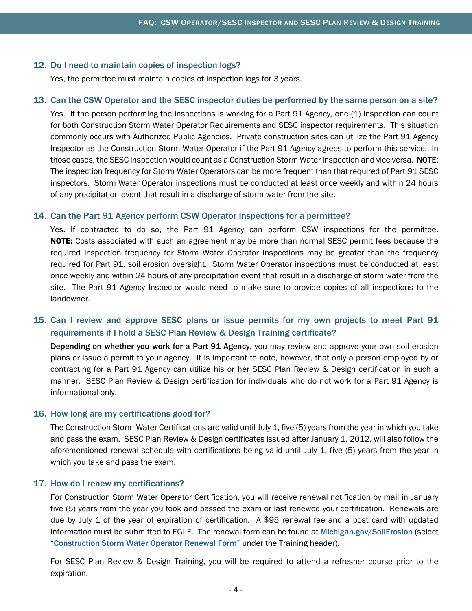#### <span id="page-3-0"></span>12. Do I need to maintain copies of inspection logs?

Yes, the permittee must maintain copies of inspection logs for 3 years.

#### <span id="page-3-1"></span>13. Can the CSW Operator and the SESC inspector duties be performed by the same person on a site?

Yes. If the person performing the inspections is working for a Part 91 Agency, one (1) inspection can count for both Construction Storm Water Operator Requirements and SESC inspector requirements. This situation commonly occurs with Authorized Public Agencies. Private construction sites can utilize the Part 91 Agency Inspector as the Construction Storm Water Operator if the Part 91 Agency agrees to perform this service. In those cases, the SESC inspection would count as a Construction Storm Water inspection and vice versa. NOTE: The inspection frequency for Storm Water Operators can be more frequent than that required of Part 91 SESC inspectors. Storm Water Operator inspections must be conducted at least once weekly and within 24 hours of any precipitation event that result in a discharge of storm water from the site.

#### <span id="page-3-2"></span>14. Can the Part 91 Agency perform CSW Operator Inspections for a permittee?

Yes. If contracted to do so, the Part 91 Agency can perform CSW inspections for the permittee. NOTE: Costs associated with such an agreement may be more than normal SESC permit fees because the required inspection frequency for Storm Water Operator Inspections may be greater than the frequency required for Part 91, soil erosion oversight. Storm Water Operator inspections must be conducted at least once weekly and within 24 hours of any precipitation event that result in a discharge of storm water from the site. The Part 91 Agency Inspector would need to make sure to provide copies of all inspections to the landowner.

## <span id="page-3-3"></span>15. Can I review and approve SESC plans or issue permits for my own projects to meet Part 91 requirements if I hold a SESC Plan Review & Design Training certificate?

Depending on whether you work for a Part 91 Agency, you may review and approve your own soil erosion plans or issue a permit to your agency. It is important to note, however, that only a person employed by or contracting for a Part 91 Agency can utilize his or her SESC Plan Review & Design certification in such a manner. SESC Plan Review & Design certification for individuals who do not work for a Part 91 Agency is informational only.

#### <span id="page-3-4"></span>16. How long are my certifications good for?

The Construction Storm Water Certifications are valid until July 1, five (5) years from the year in which you take and pass the exam. SESC Plan Review & Design certificates issued after January 1, 2012, will also follow the aforementioned renewal schedule with certifications being valid until July 1, five (5) years from the year in which you take and pass the exam.

#### <span id="page-3-5"></span>17. How do I renew my certifications?

For Construction Storm Water Operator Certification, you will receive renewal notification by mail in January five (5) years from the year you took and passed the exam or last renewed your certification. Renewals are due by July 1 of the year of expiration of certification. A \$95 renewal fee and a post card with updated information must be submitted to EGLE. The renewal form can be found at [Michigan.gov/SoilErosion](http://www.michigan.gov/soilerosion) (select "[Construction Storm Water Operator Renewal Form"](http://www.michigan.gov/deq/0,4561,7-135-3308_3333_4171-268393--,00.html) under the Training header).

For SESC Plan Review & Design Training, you will be required to attend a refresher course prior to the expiration.